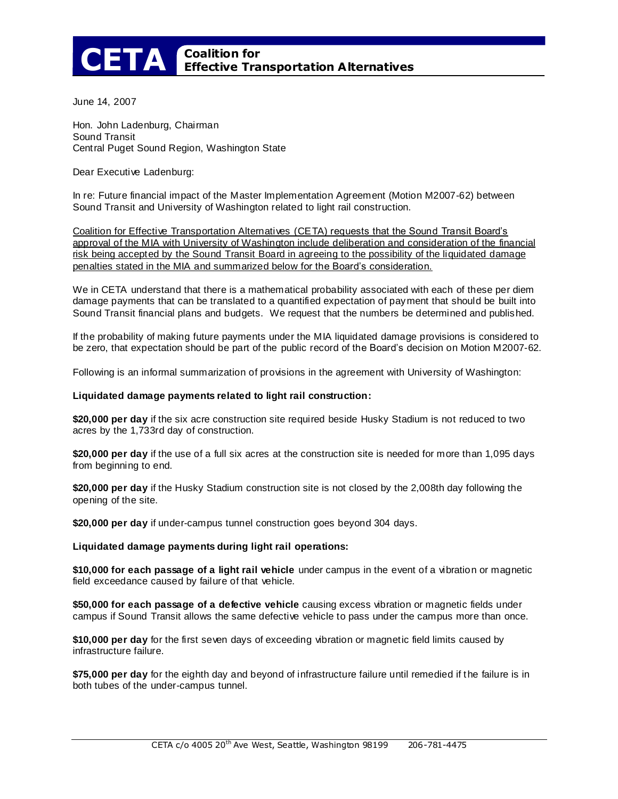

June 14, 2007

Hon. John Ladenburg, Chairman Sound Transit Central Puget Sound Region, Washington State

Dear Executive Ladenburg:

In re: Future financial impact of the Master Implementation Agreement (Motion M2007-62) between Sound Transit and University of Washington related to light rail construction.

Coalition for Effective Transportation Alternatives (CETA) requests that the Sound Transit Board's approval of the MIA with University of Washington include deliberation and consideration of the financial risk being accepted by the Sound Transit Board in agreeing to the possibility of the liquidated damage penalties stated in the MIA and summarized below for the Board's consideration.

We in CETA understand that there is a mathematical probability associated with each of these per diem damage payments that can be translated to a quantified expectation of payment that should be built into Sound Transit financial plans and budgets. We request that the numbers be determined and published.

If the probability of making future payments under the MIA liquidated damage provisions is considered to be zero, that expectation should be part of the public record of the Board's decision on Motion M2007-62.

Following is an informal summarization of provisions in the agreement with University of Washington:

## **Liquidated damage payments related to light rail construction:**

**\$20,000 per day** if the six acre construction site required beside Husky Stadium is not reduced to two acres by the 1,733rd day of construction.

**\$20,000 per day** if the use of a full six acres at the construction site is needed for more than 1,095 days from beginning to end.

**\$20,000 per day** if the Husky Stadium construction site is not closed by the 2,008th day following the opening of the site.

**\$20,000 per day** if under-campus tunnel construction goes beyond 304 days.

## **Liquidated damage payments during light rail operations:**

**\$10,000 for each passage of a light rail vehicle** under campus in the event of a vibration or magnetic field exceedance caused by failure of that vehicle.

**\$50,000 for each passage of a defective vehicle** causing excess vibration or magnetic fields under campus if Sound Transit allows the same defective vehicle to pass under the campus more than once.

**\$10,000 per day** for the first seven days of exceeding vibration or magnetic field limits caused by infrastructure failure.

**\$75,000 per day** for the eighth day and beyond of infrastructure failure until remedied if the failure is in both tubes of the under-campus tunnel.